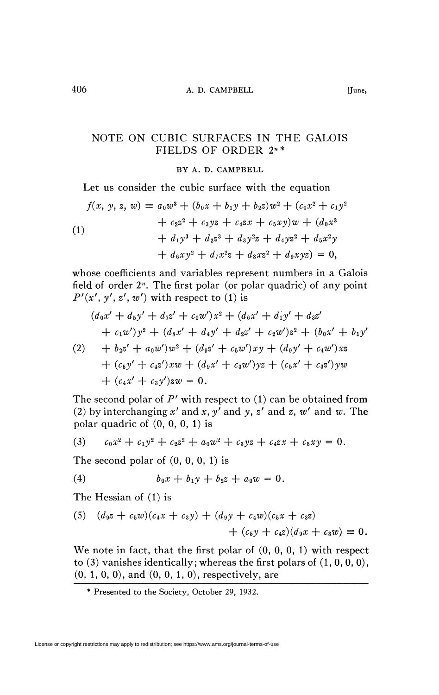## NOTE ON CUBIC SURFACES IN THE GALOIS FIELDS OF ORDER 2"\*

## BY A. D. CAMPBELL

Let us consider the cubic surface with the equation

(1)  
\n
$$
f(x, y, z, w) = a_0 w^3 + (b_0 x + b_1 y + b_2 z) w^2 + (c_0 x^2 + c_1 y^2 + c_2 z^2 + c_3 y z + c_4 z x + c_5 x y) w + (d_0 x^3 + d_1 y^3 + d_2 z^3 + d_3 y^2 z + d_4 y z^2 + d_5 x^2 y + d_6 x y^2 + d_7 x^2 z + d_8 x z^2 + d_9 x y z) = 0,
$$

whose coefficients and variables represent numbers in a Galois field of order 2<sup>n</sup>. The first polar (or polar quadric) of any point  $P'(x', y', z', w')$  with respect to (1) is

$$
(d_0x' + d_5y' + d_7z' + c_0w')x^2 + (d_6x' + d_1y' + d_3z'+ c_1w')y^2 + (d_8x' + d_4y' + d_2z' + c_2w')z^2 + (b_0x' + b_1y'(2) + b_2z' + a_0w')w^2 + (d_9z' + c_5w')xy + (d_9y' + c_4w')xz
$$

+ 
$$
(c_5y' + c_4z')xw + (d_9x' + c_3w')yz + (c_5x' + c_3z')yw
$$
  
+  $(c_4x' + c_3y')zw = 0.$ 

The second polar of *P'* with respect to (1) can be obtained from (2) by interchanging  $x'$  and  $x$ ,  $y'$  and  $y$ ,  $z'$  and  $z$ ,  $w'$  and  $w$ . The polar quadric of  $(0, 0, 0, 1)$  is

(3) 
$$
c_0x^2 + c_1y^2 + c_2z^2 + a_0w^2 + c_3yz + c_4zx + c_5xy = 0.
$$

The second polar of  $(0, 0, 0, 1)$  is

(4) 
$$
b_0x + b_1y + b_2z + a_0w = 0.
$$

The Hessian of (1) is

(5) 
$$
(d_9z + c_5w)(c_4x + c_3y) + (d_9y + c_4w)(c_5x + c_3z) + (c_5y + c_4z)(d_9x + c_3w) \equiv 0.
$$

We note in fact, that the first polar of (0, 0, 0, 1) with respect to  $(3)$  vanishes identically; whereas the first polars of  $(1, 0, 0, 0)$ , (0, 1, 0, 0), and (0, 0, 1,0), respectively, are

<sup>\*</sup> Presented to the Society, October 29, 1932.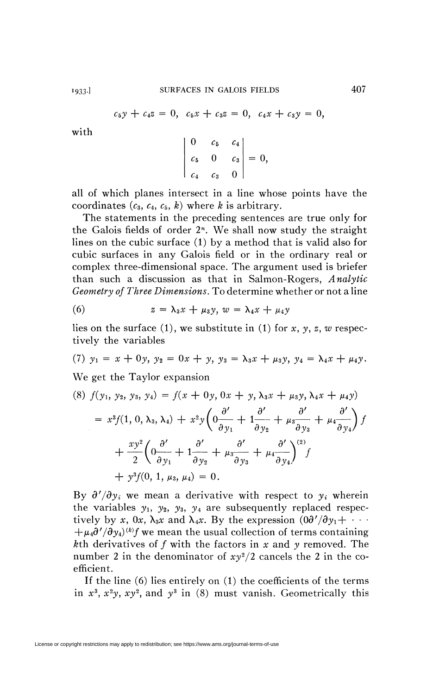$$
c_5y + c_4z = 0, c_5x + c_3z = 0, c_4x + c_3y = 0,
$$

with

$$
\begin{vmatrix} 0 & c_5 & c_4 \ c_5 & 0 & c_3 \ c_4 & c_3 & 0 \end{vmatrix} = 0,
$$

all of which planes intersect in a line whose points have the coordinates  $(c_3, c_4, c_5, k)$  where *k* is arbitrary.

The statements in the preceding sentences are true only for the Galois fields of order  $2<sup>n</sup>$ . We shall now study the straight lines on the cubic surface (1) by a method that is valid also for cubic surfaces in any Galois field or in the ordinary real or complex three-dimensional space. The argument used is briefer than such a discussion as that in Salmon-Rogers, *Analytic Geometry of Three Dimensions.* To determine whether or not a line

(6) 
$$
z = \lambda_3 x + \mu_3 y, w = \lambda_4 x + \mu_4 y
$$

lies on the surface (1), we substitute in (1) for *x, y, z, w* respectively the variables

(7) 
$$
y_1 = x + 0y
$$
,  $y_2 = 0x + y$ ,  $y_3 = \lambda_3 x + \mu_3 y$ ,  $y_4 = \lambda_4 x + \mu_4 y$ .

We get the Taylor expansion

$$
(8) \ f(y_1, y_2, y_3, y_4) = f(x + 0y, 0x + y, \lambda_3 x + \mu_3 y, \lambda_4 x + \mu_4 y)
$$
  
=  $x^3 f(1, 0, \lambda_3, \lambda_4) + x^2 y \left( 0 \frac{\partial'}{\partial y_1} + 1 \frac{\partial'}{\partial y_2} + \mu_3 \frac{\partial'}{\partial y_3} + \mu_4 \frac{\partial'}{\partial y_4} \right) f$   
+  $\frac{xy^2}{2} \left( 0 \frac{\partial'}{\partial y_1} + 1 \frac{\partial'}{\partial y_2} + \mu_3 \frac{\partial'}{\partial y_3} + \mu_4 \frac{\partial'}{\partial y_4} \right)^{(2)} f$   
+  $y^3 f(0, 1, \mu_3, \mu_4) = 0.$ 

By  $\partial' / \partial y_i$  we mean a derivative with respect to  $y_i$  wherein the variables  $y_1$ ,  $y_2$ ,  $y_3$ ,  $y_4$  are subsequently replaced respectively by x, 0x,  $\lambda_3 x$  and  $\lambda_4 x$ . By the expression  $(0\partial'/\partial y_1 + \cdots)$  $+\mu_4\partial'/\partial y_4$ <sup>(k)</sup>*f* we mean the usual collection of terms containing &th derivatives of ƒ with the factors in *x* and *y* removed. The number 2 in the denominator of  $xy^2/2$  cancels the 2 in the coefficient.

If the line (6) lies entirely on (1) the coefficients of the terms in  $x^3$ ,  $x^2y$ ,  $xy^2$ , and  $y^3$  in (8) must vanish. Geometrically this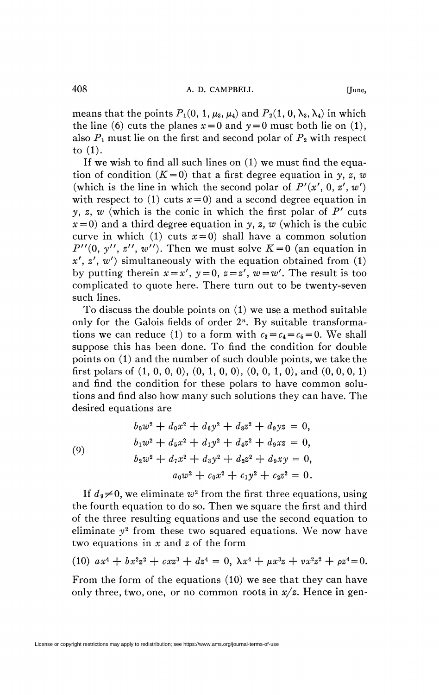means that the points  $P_1(0, 1, \mu_3, \mu_4)$  and  $P_2(1, 0, \lambda_3, \lambda_4)$  in which the line (6) cuts the planes  $x = 0$  and  $y = 0$  must both lie on (1), also  $P_1$  must lie on the first and second polar of  $P_2$  with respect to (1).

If we wish to find all such lines on (1) we must find the equation of condition  $(K=0)$  that a first degree equation in *y*, *z*, *w* (which is the line in which the second polar of  $P'(x', 0, z', w')$ ) with respect to (1) cuts  $x=0$ ) and a second degree equation in *y, z, w* (which is the conic in which the first polar of  $P'$  cuts  $x=0$  and a third degree equation in *y*, *z*, *w* (which is the cubic curve in which (1) cuts  $x=0$ ) shall have a common solution  $P''(0, y'', z'', w'')$ . Then we must solve  $K=0$  (an equation in *x', z', w')* simultaneously with the equation obtained from (1) by putting therein  $x = x'$ ,  $y = 0$ ,  $z = z'$ ,  $w = w'$ . The result is too complicated to quote here. There turn out to be twenty-seven such lines.

To discuss the double points on (1) we use a method suitable only for the Galois fields of order 2<sup>n</sup>. By suitable transformations we can reduce (1) to a form with  $c_3 = c_4 = c_5 = 0$ . We shall suppose this has been done. To find the condition for double points on (1) and the number of such double points, we take the first polars of  $(1, 0, 0, 0)$ ,  $(0, 1, 0, 0)$ ,  $(0, 0, 1, 0)$ , and  $(0, 0, 0, 1)$ and find the condition for these polars to have common solutions and find also how many such solutions they can have. The desired equations are

(9)  
\n
$$
b_0w^2 + d_0x^2 + d_6y^2 + d_8z^2 + d_9yz = 0,
$$
\n
$$
b_1w^2 + d_5x^2 + d_1y^2 + d_4z^2 + d_9xz = 0,
$$
\n
$$
b_2w^2 + d_7x^2 + d_3y^2 + d_2z^2 + d_9xy = 0,
$$
\n
$$
a_0w^2 + c_0x^2 + c_1y^2 + c_2z^2 = 0.
$$

If  $d_9 \neq 0$ , we eliminate  $w^2$  from the first three equations, using the fourth equation to do so. Then we square the first and third of the three resulting equations and use the second equation to eliminate  $y^2$  from these two squared equations. We now have two equations in *x* and *z* of the form

(10) 
$$
ax^4 + bx^2z^2 + cx^3 + dz^4 = 0
$$
,  $\lambda x^4 + \mu x^3z + vx^2z^2 + \rho z^4 = 0$ .

From the form of the equations (10) we see that they can have only three, two, one, or no common roots in *x/z.* Hence in gen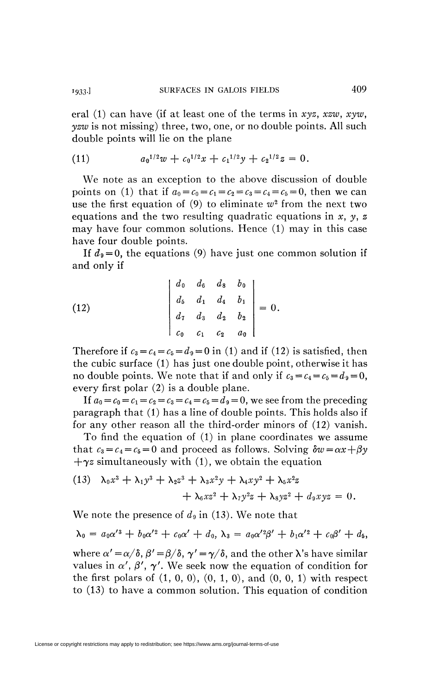eral (1) can have (if at least one of the terms in *xyz, xzw, xyw, yzw* is not missing) three, two, one, or no double points. All such double points will lie on the plane

(11) 
$$
a_0^{1/2}w + c_0^{1/2}x + c_1^{1/2}y + c_2^{1/2}z = 0.
$$

We note as an exception to the above discussion of double points on (1) that if  $a_0 = c_0 = c_1 = c_2 = c_3 = c_4 = c_5 = 0$ , then we can use the first equation of  $(9)$  to eliminate  $w^2$  from the next two equations and the two resulting quadratic equations in *x, y, z*  may have four common solutions. Hence (1) may in this case have four double points.

If  $d_9 = 0$ , the equations (9) have just one common solution if and only if

(12) 
$$
\begin{vmatrix} d_0 & d_6 & d_8 & b_0 \ d_5 & d_1 & d_4 & b_1 \ d_7 & d_3 & d_2 & b_2 \ c_0 & c_1 & c_2 & a_0 \end{vmatrix} = 0.
$$

Therefore if  $c_3 = c_4 = c_5 = d_9 = 0$  in (1) and if (12) is satisfied, then the cubic surface (1) has just one double point, otherwise it has no double points. We note that if and only if  $c_3 = c_4 = c_5 = d_9 = 0$ , every first polar (2) is a double plane.

If  $a_0 = c_0 = c_1 = c_2 = c_3 = c_4 = c_5 = d_9 = 0$ , we see from the preceding paragraph that (1) has a line of double points. This holds also if for any other reason all the third-order minors of (12) vanish.

To find the equation of (1) in plane coordinates we assume that  $c_3 = c_4 = c_5 = 0$  and proceed as follows. Solving  $\delta w = \alpha x + \beta y$  $+\gamma z$  simultaneously with (1), we obtain the equation

(13) 
$$
\lambda_0 x^3 + \lambda_1 y^3 + \lambda_2 z^3 + \lambda_3 x^2 y + \lambda_4 x y^2 + \lambda_5 x^2 z
$$

$$
+ \lambda_6 x z^2 + \lambda_7 y^2 z + \lambda_8 y z^2 + d_9 x y z = 0.
$$

We note the presence of  $d_9$  in (13). We note that

$$
\lambda_0 = a_0 \alpha'^3 + b_0 \alpha'^2 + c_0 \alpha' + d_0, \lambda_3 = a_0 \alpha'^2 \beta' + b_1 \alpha'^2 + c_0 \beta' + d_5,
$$

where  $\alpha' = \alpha/\delta$ ,  $\beta' = \beta/\delta$ ,  $\gamma' = \gamma/\delta$ , and the other  $\lambda$ 's have similar values in  $\alpha'$ ,  $\beta'$ ,  $\gamma'$ . We seek now the equation of condition for the first polars of  $(1, 0, 0)$ ,  $(0, 1, 0)$ , and  $(0, 0, 1)$  with respect to (13) to have a common solution. This equation of condition